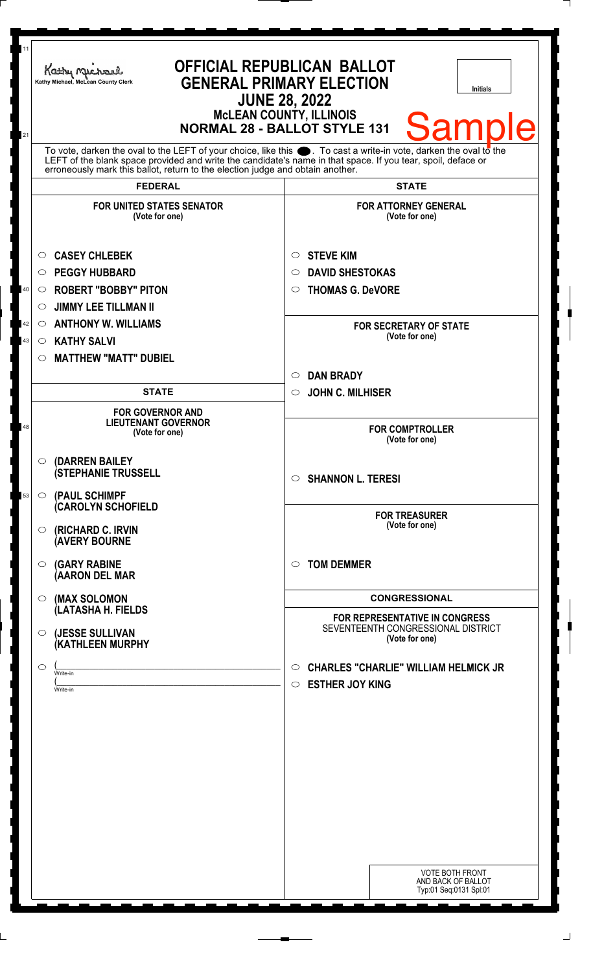| 11       | Kathy Michael<br>Kathy Michael, McLean County Clerk                                                                                                                                                                                                                                                                       | <b>OFFICIAL REPUBLICAN BALLOT</b><br><b>GENERAL PRIMARY ELECTION</b><br>Initials<br><b>JUNE 28, 2022</b><br><b>McLEAN COUNTY, ILLINOIS</b><br><b>Sample</b><br><b>NORMAL 28 - BALLOT STYLE 131</b> |
|----------|---------------------------------------------------------------------------------------------------------------------------------------------------------------------------------------------------------------------------------------------------------------------------------------------------------------------------|----------------------------------------------------------------------------------------------------------------------------------------------------------------------------------------------------|
| 21       | To vote, darken the oval to the LEFT of your choice, like this $\bullet$ . To cast a write-in vote, darken the oval to the<br>LEFT of the blank space provided and write the candidate's name in that space. If you tear, spoil, deface or erroneously mark this ballot, return to the election judge and obtain another. |                                                                                                                                                                                                    |
|          | <b>FEDERAL</b>                                                                                                                                                                                                                                                                                                            | <b>STATE</b>                                                                                                                                                                                       |
|          | <b>FOR UNITED STATES SENATOR</b><br>(Vote for one)                                                                                                                                                                                                                                                                        | <b>FOR ATTORNEY GENERAL</b><br>(Vote for one)                                                                                                                                                      |
| 40       | <b>CASEY CHLEBEK</b><br>O<br><b>PEGGY HUBBARD</b><br>$\circ$<br><b>ROBERT "BOBBY" PITON</b><br>$\circ$<br><b>JIMMY LEE TILLMAN II</b><br>$\circ$                                                                                                                                                                          | <b>STEVE KIM</b><br>O<br><b>DAVID SHESTOKAS</b><br>◯<br><b>THOMAS G. DeVORE</b><br>O                                                                                                               |
| 42<br>43 | <b>ANTHONY W. WILLIAMS</b><br>$\circlearrowright$<br><b>KATHY SALVI</b><br>$\circ$<br><b>MATTHEW "MATT" DUBIEL</b><br>$\circ$                                                                                                                                                                                             | <b>FOR SECRETARY OF STATE</b><br>(Vote for one)                                                                                                                                                    |
|          |                                                                                                                                                                                                                                                                                                                           | <b>DAN BRADY</b><br>$\circ$                                                                                                                                                                        |
|          | <b>STATE</b>                                                                                                                                                                                                                                                                                                              | <b>JOHN C. MILHISER</b><br>$\circ$                                                                                                                                                                 |
| 48       | <b>FOR GOVERNOR AND</b><br><b>LIEUTENANT GOVERNOR</b><br>(Vote for one)                                                                                                                                                                                                                                                   | <b>FOR COMPTROLLER</b><br>(Vote for one)                                                                                                                                                           |
| 53       | $\circ$ (DARREN BAILEY<br><b>(STEPHANIE TRUSSELL</b><br>$\circ$ (PAUL SCHIMPF                                                                                                                                                                                                                                             | <b>SHANNON L. TERESI</b><br>$\circ$                                                                                                                                                                |
|          | (CAROLYN SCHOFIELD<br>$\circ$ (RICHARD C. IRVIN<br><b>AVERY BOURNE</b>                                                                                                                                                                                                                                                    | <b>FOR TREASURER</b><br>(Vote for one)                                                                                                                                                             |
|          | <b>(GARY RABINE</b><br>$\circ$<br>(AARON DEL MAR                                                                                                                                                                                                                                                                          | <b>TOM DEMMER</b><br>$\bigcirc$                                                                                                                                                                    |
|          | (MAX SOLOMON<br>$\circ$<br>(LATASHA H. FIELDS                                                                                                                                                                                                                                                                             | <b>CONGRESSIONAL</b>                                                                                                                                                                               |
|          | (JESSE SULLIVAN<br>$\circ$<br>(KATHLEEN MURPHY                                                                                                                                                                                                                                                                            | <b>FOR REPRESENTATIVE IN CONGRESS</b><br>SEVENTEENTH CONGRESSIONAL DISTRICT<br>(Vote for one)                                                                                                      |
|          | O<br>Write-in<br>Write-in                                                                                                                                                                                                                                                                                                 | <b>CHARLES "CHARLIE" WILLIAM HELMICK JR</b><br>$\circ$<br><b>ESTHER JOY KING</b><br>$\circ$                                                                                                        |
|          |                                                                                                                                                                                                                                                                                                                           |                                                                                                                                                                                                    |
|          |                                                                                                                                                                                                                                                                                                                           |                                                                                                                                                                                                    |
|          |                                                                                                                                                                                                                                                                                                                           |                                                                                                                                                                                                    |
|          |                                                                                                                                                                                                                                                                                                                           |                                                                                                                                                                                                    |
|          |                                                                                                                                                                                                                                                                                                                           | <b>VOTE BOTH FRONT</b><br>AND BACK OF BALLOT<br>Typ:01 Seq:0131 Spl:01                                                                                                                             |